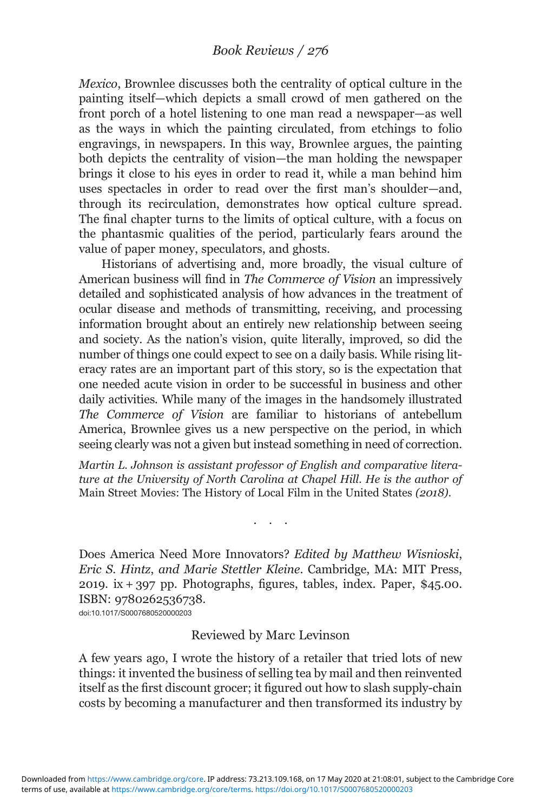Mexico, Brownlee discusses both the centrality of optical culture in the painting itself—which depicts a small crowd of men gathered on the front porch of a hotel listening to one man read a newspaper—as well as the ways in which the painting circulated, from etchings to folio engravings, in newspapers. In this way, Brownlee argues, the painting both depicts the centrality of vision—the man holding the newspaper brings it close to his eyes in order to read it, while a man behind him uses spectacles in order to read over the first man's shoulder—and, through its recirculation, demonstrates how optical culture spread. The final chapter turns to the limits of optical culture, with a focus on the phantasmic qualities of the period, particularly fears around the value of paper money, speculators, and ghosts.

Historians of advertising and, more broadly, the visual culture of American business will find in The Commerce of Vision an impressively detailed and sophisticated analysis of how advances in the treatment of ocular disease and methods of transmitting, receiving, and processing information brought about an entirely new relationship between seeing and society. As the nation's vision, quite literally, improved, so did the number of things one could expect to see on a daily basis. While rising literacy rates are an important part of this story, so is the expectation that one needed acute vision in order to be successful in business and other daily activities. While many of the images in the handsomely illustrated The Commerce of Vision are familiar to historians of antebellum America, Brownlee gives us a new perspective on the period, in which seeing clearly was not a given but instead something in need of correction.

Martin L. Johnson is assistant professor of English and comparative literature at the University of North Carolina at Chapel Hill. He is the author of Main Street Movies: The History of Local Film in the United States (2018).

...

Does America Need More Innovators? Edited by Matthew Wisnioski, Eric S. Hintz, and Marie Stettler Kleine. Cambridge, MA: MIT Press, 2019. ix + 397 pp. Photographs, figures, tables, index. Paper, \$45.00. ISBN: 9780262536738.

doi:10.1017/S0007680520000203

## Reviewed by Marc Levinson

A few years ago, I wrote the history of a retailer that tried lots of new things: it invented the business of selling tea by mail and then reinvented itself as the first discount grocer; it figured out how to slash supply-chain costs by becoming a manufacturer and then transformed its industry by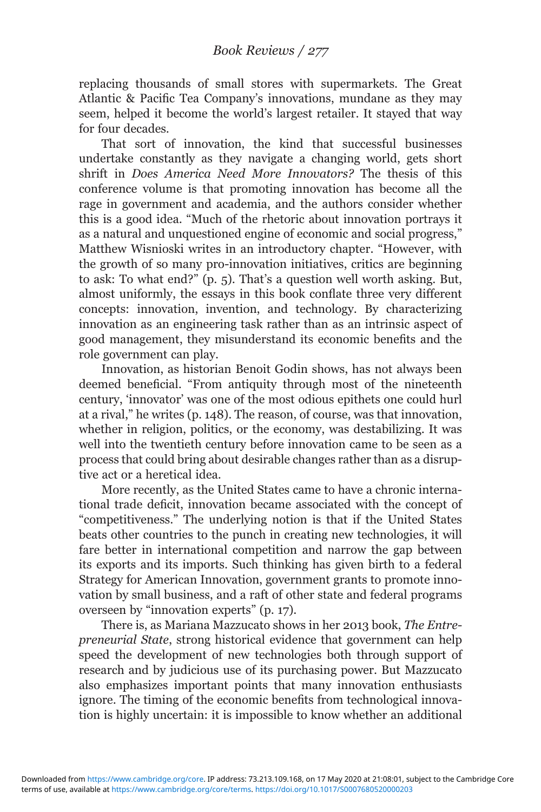replacing thousands of small stores with supermarkets. The Great Atlantic & Pacific Tea Company's innovations, mundane as they may seem, helped it become the world's largest retailer. It stayed that way for four decades.

That sort of innovation, the kind that successful businesses undertake constantly as they navigate a changing world, gets short shrift in Does America Need More Innovators? The thesis of this conference volume is that promoting innovation has become all the rage in government and academia, and the authors consider whether this is a good idea. "Much of the rhetoric about innovation portrays it as a natural and unquestioned engine of economic and social progress," Matthew Wisnioski writes in an introductory chapter. "However, with the growth of so many pro-innovation initiatives, critics are beginning to ask: To what end?" (p. 5). That's a question well worth asking. But, almost uniformly, the essays in this book conflate three very different concepts: innovation, invention, and technology. By characterizing innovation as an engineering task rather than as an intrinsic aspect of good management, they misunderstand its economic benefits and the role government can play.

Innovation, as historian Benoit Godin shows, has not always been deemed beneficial. "From antiquity through most of the nineteenth century, 'innovator' was one of the most odious epithets one could hurl at a rival," he writes (p. 148). The reason, of course, was that innovation, whether in religion, politics, or the economy, was destabilizing. It was well into the twentieth century before innovation came to be seen as a process that could bring about desirable changes rather than as a disruptive act or a heretical idea.

More recently, as the United States came to have a chronic international trade deficit, innovation became associated with the concept of "competitiveness." The underlying notion is that if the United States beats other countries to the punch in creating new technologies, it will fare better in international competition and narrow the gap between its exports and its imports. Such thinking has given birth to a federal Strategy for American Innovation, government grants to promote innovation by small business, and a raft of other state and federal programs overseen by "innovation experts" (p. 17).

There is, as Mariana Mazzucato shows in her 2013 book, The Entrepreneurial State, strong historical evidence that government can help speed the development of new technologies both through support of research and by judicious use of its purchasing power. But Mazzucato also emphasizes important points that many innovation enthusiasts ignore. The timing of the economic benefits from technological innovation is highly uncertain: it is impossible to know whether an additional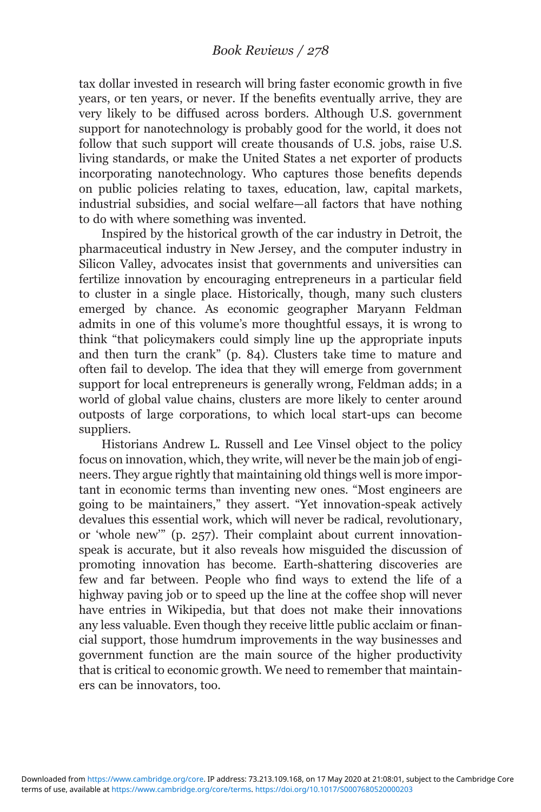tax dollar invested in research will bring faster economic growth in five years, or ten years, or never. If the benefits eventually arrive, they are very likely to be diffused across borders. Although U.S. government support for nanotechnology is probably good for the world, it does not follow that such support will create thousands of U.S. jobs, raise U.S. living standards, or make the United States a net exporter of products incorporating nanotechnology. Who captures those benefits depends on public policies relating to taxes, education, law, capital markets, industrial subsidies, and social welfare—all factors that have nothing to do with where something was invented.

Inspired by the historical growth of the car industry in Detroit, the pharmaceutical industry in New Jersey, and the computer industry in Silicon Valley, advocates insist that governments and universities can fertilize innovation by encouraging entrepreneurs in a particular field to cluster in a single place. Historically, though, many such clusters emerged by chance. As economic geographer Maryann Feldman admits in one of this volume's more thoughtful essays, it is wrong to think "that policymakers could simply line up the appropriate inputs and then turn the crank" (p. 84). Clusters take time to mature and often fail to develop. The idea that they will emerge from government support for local entrepreneurs is generally wrong, Feldman adds; in a world of global value chains, clusters are more likely to center around outposts of large corporations, to which local start-ups can become suppliers.

Historians Andrew L. Russell and Lee Vinsel object to the policy focus on innovation, which, they write, will never be the main job of engineers. They argue rightly that maintaining old things well is more important in economic terms than inventing new ones. "Most engineers are going to be maintainers," they assert. "Yet innovation-speak actively devalues this essential work, which will never be radical, revolutionary, or 'whole new'" (p. 257). Their complaint about current innovationspeak is accurate, but it also reveals how misguided the discussion of promoting innovation has become. Earth-shattering discoveries are few and far between. People who find ways to extend the life of a highway paving job or to speed up the line at the coffee shop will never have entries in Wikipedia, but that does not make their innovations any less valuable. Even though they receive little public acclaim or financial support, those humdrum improvements in the way businesses and government function are the main source of the higher productivity that is critical to economic growth. We need to remember that maintainers can be innovators, too.